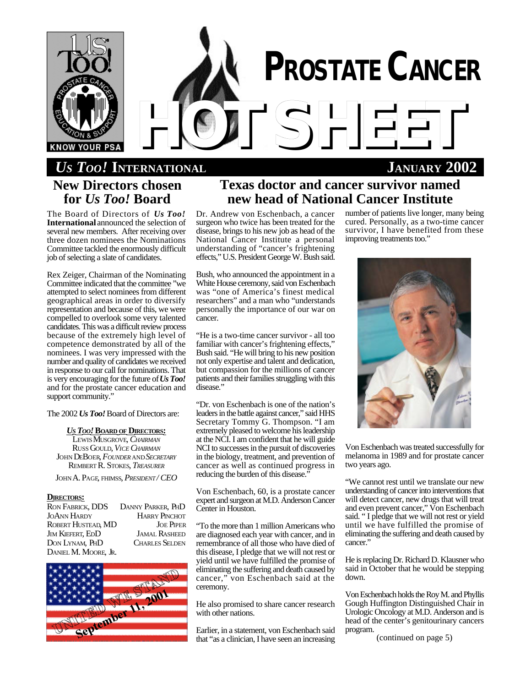

# *US TOO!* **INTERNATIONAL JANUARY 2002 New Directors chosen for** *Us Too!* **Board**

The Board of Directors of *Us Too!* **International** announced the selection of several new members. After receiving over three dozen nominees the Nominations Committee tackled the enormously difficult job of selecting a slate of candidates.

Rex Zeiger, Chairman of the Nominating Committee indicated that the committee "we attempted to select nominees from different geographical areas in order to diversify representation and because of this, we were compelled to overlook some very talented candidates. This was a difficult review process because of the extremely high level of competence demonstrated by all of the nominees. I was very impressed with the number and quality of candidates we received in response to our call for nominations. That is very encouraging for the future of *Us Too!* and for the prostate cancer education and support community."

The 2002 *Us Too!* Board of Directors are:

### *U<sup>S</sup> TOO!***BOARD OF DIRECTORS:**

LEWIS MUSGROVE, *CHAIRMAN* RUSS GOULD, *VICE CHAIRMAN* JOHN DEBOER, *FOUNDER* AND*SECRETARY* REMBERT R. STOKES, *TREASURER*

JOHN A. PAGE, FHIMSS, *PRESIDENT / CEO*

#### **DIRECTORS:**

| <b>RON FABRICK, DDS</b> | DANNY PARKER, PHD     |
|-------------------------|-----------------------|
| <b>JOANN HARDY</b>      | <b>HARRY PINCHOT</b>  |
| ROBERT HUSTEAD, MD      | <b>JOE PIPER</b>      |
| <b>JIM KIEFERT, EDD</b> | <b>JAMAL RASHEED</b>  |
| DON LYNAM, PHD          | <b>CHARLES SELDEN</b> |
| DANIEL M. MOORE, JR.    |                       |



# **Texas doctor and cancer survivor named new head of National Cancer Institute**

Dr. Andrew von Eschenbach, a cancer surgeon who twice has been treated for the disease, brings to his new job as head of the National Cancer Institute a personal understanding of "cancer's frightening effects," U.S. President George W. Bush said.

Bush, who announced the appointment in a White House ceremony, said von Eschenbach was "one of America's finest medical researchers" and a man who "understands personally the importance of our war on cancer.

"He is a two-time cancer survivor - all too familiar with cancer's frightening effects," Bush said. "He will bring to his new position not only expertise and talent and dedication, but compassion for the millions of cancer patients and their families struggling with this disease."

"Dr. von Eschenbach is one of the nation's leaders in the battle against cancer," said HHS Secretary Tommy G. Thompson. "I am extremely pleased to welcome his leadership at the NCI. I am confident that he will guide NCI to successes in the pursuit of discoveries in the biology, treatment, and prevention of cancer as well as continued progress in reducing the burden of this disease."

Von Eschenbach, 60, is a prostate cancer expert and surgeon at M.D. Anderson Cancer Center in Houston.

"To the more than 1 million Americans who are diagnosed each year with cancer, and in remembrance of all those who have died of this disease, I pledge that we will not rest or yield until we have fulfilled the promise of eliminating the suffering and death caused by cancer," von Eschenbach said at the ceremony.

He also promised to share cancer research with other nations.

Earlier, in a statement, von Eschenbach said that "as a clinician, I have seen an increasing number of patients live longer, many being cured. Personally, as a two-time cancer survivor, I have benefited from these improving treatments too."



Von Eschenbach was treated successfully for melanoma in 1989 and for prostate cancer two years ago.

"We cannot rest until we translate our new understanding of cancer into interventions that will detect cancer, new drugs that will treat and even prevent cancer," Von Eschenbach said. " I pledge that we will not rest or yield until we have fulfilled the promise of eliminating the suffering and death caused by cancer."

He is replacing Dr. Richard D. Klausner who said in October that he would be stepping down.

Von Eschenbach holds the Roy M. and Phyllis Gough Huffington Distinguished Chair in Urologic Oncology at M.D. Anderson and is head of the center's genitourinary cancers program.

(continued on page 5)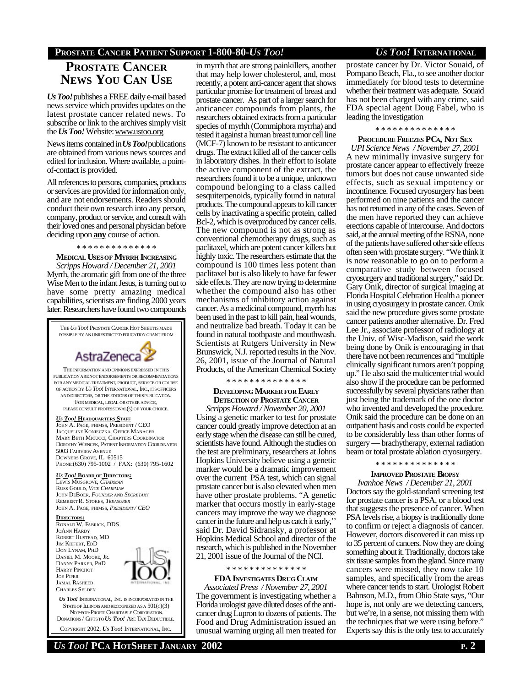# **PROSTATE CANCER PATIENT SUPPORT 1-800-80-***US TOO! US TOO!* **INTERNATIONAL**

# **PROSTATE CANCER NEWS YOU CAN USE**

*Us Too!*publishes a FREE daily e-mail based news service which provides updates on the latest prostate cancer related news. To subscribe or link to the archives simply visit the *Us Too!* Website: www.ustoo.org

News items contained in *Us Too!*publications are obtained from various news sources and edited for inclusion. Where available, a pointof-contact is provided.

All references to persons, companies, products or services are provided for information only, and are not endorsements. Readers should conduct their own research into any person, company, product or service, and consult with their loved ones and personal physician before deciding upon **any** course of action.

#### \* \* \* \* \* \* \* \* \* \* \* \* \* \*

**MEDICAL USESOF MYRRH INCREASING** *Scripps Howard / December 21, 2001* Myrrh, the aromatic gift from one of the three Wise Men to the infant Jesus, is turning out to have some pretty amazing medical capabilities, scientists are finding 2000 years later. Researchers have found two compounds



STATE OF ILLINOIS AND RECOGNIZED AS A  $501(c)(3)$  NOT-FOR-PROFIT CHARITABLE CORPORATION. DONATIONS / GIFTSTO *US TOO!* ARE TAX DEDUCTIBLE.

COPYRIGHT 2002, *US TOO!* INTERNATIONAL, INC.

in myrrh that are strong painkillers, another that may help lower cholesterol, and, most recently, a potent anti-cancer agent that shows particular promise for treatment of breast and prostate cancer. As part of a larger search for anticancer compounds from plants, the researchers obtained extracts from a particular species of myrhh (Commiphora myrrha) and tested it against a human breast tumor cell line (MCF-7) known to be resistant to anticancer drugs. The extract killed all of the cancer cells in laboratory dishes. In their effort to isolate the active component of the extract, the researchers found it to be a unique, unknown compound belonging to a class called sesquiterpenoids, typically found in natural products. The compound appears to kill cancer cells by inactivating a specific protein, called Bcl-2, which is overproduced by cancer cells. The new compound is not as strong as conventional chemotherapy drugs, such as paclitaxel, which are potent cancer killers but highly toxic. The researchers estimate that the compound is 100 times less potent than paclitaxel but is also likely to have far fewer side effects. They are now trying to determine whether the compound also has other mechanisms of inhibitory action against cancer. As a medicinal compound, myrrh has been used in the past to kill pain, heal wounds, and neutralize bad breath. Today it can be found in natural toothpaste and mouthwash. Scientists at Rutgers University in New Brunswick, N.J. reported results in the Nov. 26, 2001, issue of the Journal of Natural Products, of the American Chemical Society

#### \* \* \* \* \* \* \* \* \* \* \* \* \* \*

#### **DEVELOPING MARKER FOR EARLY DETECTION OF PROSTATE CANCER**

*Scripps Howard / November 20, 2001* Using a genetic marker to test for prostate cancer could greatly improve detection at an early stage when the disease can still be cured, scientists have found. Although the studies on the test are preliminary, researchers at Johns Hopkins University believe using a genetic marker would be a dramatic improvement over the current PSA test, which can signal prostate cancer but is also elevated when men have other prostate problems. "A genetic marker that occurs mostly in early-stage cancers may improve the way we diagnose cancer in the future and help us catch it early,'' said Dr. David Sidransky, a professor at Hopkins Medical School and director of the research, which is published in the November 21, 2001 issue of the Journal of the NCI.

#### \* \* \* \* \* \* \* \* \* \* \* \* \* \*

**FDA INVESTIGATES DRUG CLAIM** *Associated Press / November 27, 2001* The government is investigating whether a Florida urologist gave diluted doses of the anticancer drug Lupron to dozens of patients. The Food and Drug Administration issued an unusual warning urging all men treated for

prostate cancer by Dr. Victor Souaid, of Pompano Beach, Fla., to see another doctor immediately for blood tests to determine whether their treatment was adequate. Souaid has not been charged with any crime, said FDA special agent Doug Fabel, who is leading the investigation

#### \* \* \* \* \* \* \* \* \* \* \* \* \* \*

## **PROCEDURE FREEZES PCA, NOT SEX**

*UPI Science News / November 27, 2001* A new minimally invasive surgery for prostate cancer appear to effectively freeze tumors but does not cause unwanted side effects, such as sexual impotency or incontinence. Focused cryosurgery has been performed on nine patients and the cancer has not returned in any of the cases. Seven of the men have reported they can achieve erections capable of intercourse. And doctors said, at the annual meeting of the RSNA, none of the patients have suffered other side effects often seen with prostate surgery. "We think it is now reasonable to go on to perform a comparative study between focused cryosurgery and traditional surgery," said Dr. Gary Onik, director of surgical imaging at Florida Hospital Celebration Health a pioneer in using cryosurgery in prostate cancer. Onik said the new procedure gives some prostate cancer patients another alternative. Dr. Fred Lee Jr., associate professor of radiology at the Univ. of Wisc-Madison, said the work being done by Onik is encouraging in that there have not been recurrences and "multiple clinically significant tumors aren't popping up." He also said the multicenter trial would also show if the procedure can be performed successfully by several physicians rather than just being the trademark of the one doctor who invented and developed the procedure. Onik said the procedure can be done on an outpatient basis and costs could be expected to be considerably less than other forms of surgery — brachytherapy, external radiation beam or total prostate ablation cryosurgery.

## \* \* \* \* \* \* \* \* \* \* \* \* \* \*

#### **IMPROVED PROSTATE BIOPSY**

*Ivanhoe News / December 21, 2001* Doctors say the gold-standard screening test for prostate cancer is a PSA, or a blood test that suggests the presence of cancer. When PSA levels rise, a biopsy is traditionally done to confirm or reject a diagnosis of cancer. However, doctors discovered it can miss up to 35 percent of cancers. Now they are doing something about it. Traditionally, doctors take six tissue samples from the gland. Since many cancers were missed, they now take 10 samples, and specifically from the areas where cancer tends to start. Urologist Robert Bahnson, M.D., from Ohio State says, "Our hope is, not only are we detecting cancers, but we're, in a sense, not missing them with the techniques that we were using before." Experts say this is the only test to accurately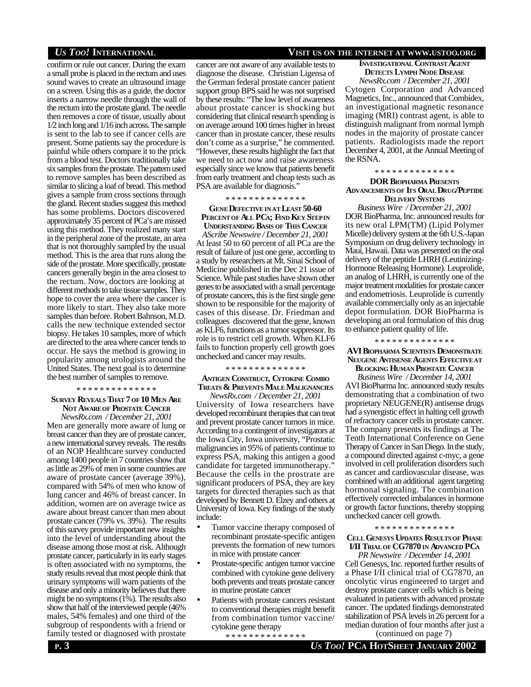confirm or rule out cancer. During the exam a small probe is placed in the rectum and uses sound waves to create an ultrasound image on a screen. Using this as a guide, the doctor inserts a narrow needle through the wall of the rectum into the prostate gland. The needle then removes a core of tissue, usually about 1/2 inch long and 1/16 inch across. The sample is sent to the lab to see if cancer cells are present. Some patients say the procedure is painful while others compare it to the prick from a blood test. Doctors traditionally take six samples from the prostate. The pattern used to remove samples has been described as similar to slicing a loaf of bread. This method gives a sample from cross sections through the gland. Recent studies suggest this method has some problems. Doctors discovered approximately 35 percent of PCa's are missed using this method. They realized many start in the peripheral zone of the prostate, an area that is not thoroughly sampled by the usual method. This is the area that runs along the side of the prostate. More specifically, prostate cancers generally begin in the area closest to the rectum. Now, doctors are looking at different methods to take tissue samples. They hope to cover the area where the cancer is more likely to start. They also take more samples than before. Robert Bahnson, M.D. calls the new technique extended sector biopsy. He takes 10 samples, more of which are directed to the area where cancer tends to occur. He says the method is growing in popularity among urologists around the United States. The next goal is to determine the best number of samples to remove.

#### \* \* \* \* \* \* \* \* \* \* \* \* \* \*

# **SURVEY REVEALS THAT 7 OF 10 MEN ARE NOT AWAREOF PROSTATE CANCER**

*NewsRx.com / December 21, 2001* Men are generally more aware of lung or breast cancer than they are of prostate cancer, a new international survey reveals. The results of an NOP Healthcare survey conducted among 1400 people in 7 countries show that as little as 29% of men in some countries are aware of prostate cancer (average 39%), compared with 54% of men who know of lung cancer and 46% of breast cancer. In addition, women are on average twice as aware about breast cancer than men about prostate cancer (79% vs. 39%). The results of this survey provide important new insights into the level of understanding about the disease among those most at risk. Although prostate cancer, particularly in its early stages is often associated with no symptoms, the study results reveal that most people think that urinary symptoms will warn patients of the disease and only a minority believes that there might be no symptoms (1%). The results also show that half of the interviewed people (46% males, 54% females) and one third of the subgroup of respondents with a friend or family tested or diagnosed with prostate

#### cancer are not aware of any available tests to diagnose the disease. Christian Ligensa of the German federal prostate cancer patient support group BPS said he was not surprised by these results: "The low level of awareness about prostate cancer is shocking but considering that clinical research spending is on average around 100 times higher in breast cancer than in prostate cancer, these results don't come as a surprise," he commented. "However, these results highlight the fact that we need to act now and raise awareness especially since we know that patients benefit from early treatment and cheap tests such as PSA are available for diagnosis."

#### \* \* \* \* \* \* \* \* \* \* \* \* \* \*

#### **GENE DEFECTIVE INAT LEAST 50-60 PERCENTOF ALL PCA; FIND KEY STEPIN UNDERSTANDING BASIS OF THIS CANCER**

*AScribe Newswire / December 21, 2001* At least 50 to 60 percent of all PCa are the result of failure of just one gene, according to a study by researchers at Mt. Sinai School of Medicine published in the Dec 21 issue of Science. While past studies have shown other genes to be associated with a small percentage of prostate cancers, this is the first single gene shown to be responsible for the majority of cases of this disease. Dr. Friedman and colleagues discovered that the gene, known as KLF6, functions as a tumor suppressor. Its role is to restrict cell growth. When KLF6 fails to function properly cell growth goes unchecked and cancer may results.

#### \* \* \* \* \* \* \* \* \* \* \* \* \* \*

## **ANTIGEN CONSTRUCT, CYTOKINE COMBO TREATS & PREVENTS MALE MALIGNANCIES**

*NewsRx.com / December 21, 2001* University of Iowa researchers have developed recombinant therapies that can treat and prevent prostate cancer tumors in mice. According to a contingent of investigators at the Iowa City, Iowa university, "Prostatic malignancies in 95% of patients continue to express PSA, making this antigen a good candidate for targeted immunotherapy." Because the cells in the prostrate are significant producers of PSA, they are key targets for directed therapies such as that developed by Bennett D. Elzey and others at University of Iowa. Key findings of the study include:

- Tumor vaccine therapy composed of recombinant prostate-specific antigen prevents the formation of new tumors in mice with prostate cancer
- Prostate-specific antigen tumor vaccine combined with cytokine gene delivery both prevents and treats prostate cancer in murine prostate cancer
- Patients with prostate cancers resistant to conventional therapies might benefit from combination tumor vaccine/ cytokine gene therapy

\* \* \* \* \* \* \* \* \* \* \* \* \* \*

## *US TOO!* **INTERNATIONAL VISIT US ON THE INTERNET AT WWW.USTOO.ORG**

#### **INVESTIGATIONAL CONTRAST AGENT DETECTS LYMPH NODE DISEASE** *NewsRx.com / December 21, 2001*

Cytogen Corporation and Advanced Magnetics, Inc., announced that Combidex, an investigational magnetic resonance imaging (MRI) contrast agent, is able to distinguish malignant from normal lymph nodes in the majority of prostate cancer patients. Radiologists made the report December 4, 2001, at the Annual Meeting of the RSNA.

#### \* \* \* \* \* \* \* \* \* \* \* \* \* \*

#### **DOR BIOPHARMA PRESENTS ADVANCEMENTSOF ITS ORAL DRUG/PEPTIDE DELIVERY SYSTEMS**

*Business Wire / December 21, 2001* DOR BioPharma, Inc. announced results for its new oral LPM(TM) (Lipid Polymer Micelle) delivery system at the 6th U.S.-Japan Symposium on drug delivery technology in Maui, Hawaii. Data was presented on the oral delivery of the peptide LHRH (Leutinizing-Hormone Releasing Hormone). Leuprolide, an analog of LHRH, is currently one of the major treatment modalities for prostate cancer and endometriosis. Leuprolide is currently available commercially only as an injectable depot formulation. DOR BioPharma is developing an oral formulation of this drug to enhance patient quality of life.

#### \* \* \* \* \* \* \* \* \* \* \* \* \* \*

#### **AVI BIOPHARMA SCIENTISTS DEMONSTRATE NEUGENE ANTISENSE AGENTS EFFECTIVEAT BLOCKING HUMAN PROSTATE CANCER**

*Business Wire / December 14, 2001* AVI BioPharma Inc. announced study results demonstrating that a combination of two proprietary NEUGENE(R) antisense drugs had a synergistic effect in halting cell growth of refractory cancer cells in prostate cancer. The company presents its findings at The Tenth International Conference on Gene Therapy of Cancer in San Diego. In the study, a compound directed against c-myc, a gene involved in cell proliferation disorders such as cancer and cardiovascular disease, was combined with an additional agent targeting hormonal signaling. The combination effectively corrected imbalances in hormone or growth factor functions, thereby stopping unchecked cancer cell growth.

#### \* \* \* \* \* \* \* \* \* \* \* \* \* \*

### **CELL GENESYS UPDATES RESULTS OF PHASE I/II TRIALOF CG7870 IN ADVANCED PC<sup>A</sup>**

*PR Newswire / December 14, 2001* Cell Genesys, Inc. reported further results of a Phase I/II clinical trial of CG7870, an oncolytic virus engineered to target and destroy prostate cancer cells which is being evaluated in patients with advanced prostate cancer. The updated findings demonstrated stabilization of PSA levels in 26 percent for a median duration of four months after just a

(continued on page 7)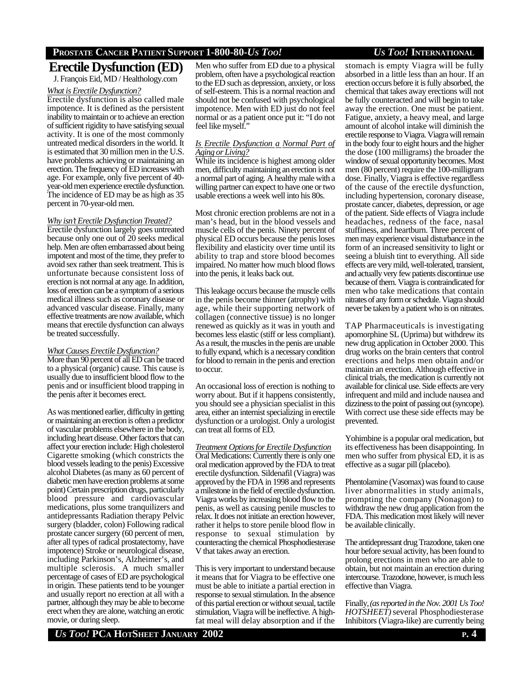# **PROSTATE CANCER PATIENT SUPPORT 1-800-80-***US TOO! US TOO!* **INTERNATIONAL**

# **Erectile Dysfunction (ED)**

J. François Eid, MD / Healthology.com

### *What is Erectile Dysfunction?*

Erectile dysfunction is also called male impotence. It is defined as the persistent inability to maintain or to achieve an erection of sufficient rigidity to have satisfying sexual activity. It is one of the most commonly untreated medical disorders in the world. It is estimated that 30 million men in the U.S. have problems achieving or maintaining an erection. The frequency of ED increases with age. For example, only five percent of 40 year-old men experience erectile dysfunction. The incidence of ED may be as high as 35 percent in 70-year-old men.

### *Why isn't Erectile DysfunctionTreated?*

Erectile dysfunction largely goes untreated because only one out of 20 seeks medical help. Men are often embarrassed about being impotent and most of the time, they prefer to avoid sex rather than seek treatment. This is unfortunate because consistent loss of erection is not normal at any age. In addition, loss of erection can be a symptom of a serious medical illness such as coronary disease or advanced vascular disease. Finally, many effective treatments are now available, which means that erectile dysfunction can always be treated successfully.

# *What Causes Erectile Dysfunction?*

More than 90 percent of all ED can be traced to a physical (organic) cause. This cause is usually due to insufficient blood flow to the penis and or insufficient blood trapping in the penis after it becomes erect.

As was mentioned earlier, difficulty in getting or maintaining an erection is often a predictor of vascular problems elsewhere in the body, including heart disease. Other factors that can affect your erection include: High cholesterol Cigarette smoking (which constricts the blood vessels leading to the penis) Excessive alcohol Diabetes (as many as 60 percent of diabetic men have erection problems at some point) Certain prescription drugs, particularly blood pressure and cardiovascular medications, plus some tranquilizers and antidepressants Radiation therapy Pelvic surgery (bladder, colon) Following radical prostate cancer surgery (60 percent of men, after all types of radical prostatectomy, have impotence) Stroke or neurological disease, including Parkinson's, Alzheimer's, and multiple sclerosis. A much smaller percentage of cases of ED are psychological in origin. These patients tend to be younger and usually report no erection at all with a partner, although they may be able to become erect when they are alone, watching an erotic movie, or during sleep.

Men who suffer from ED due to a physical problem, often have a psychological reaction to the ED such as depression, anxiety, or loss of self-esteem. This is a normal reaction and should not be confused with psychological impotence. Men with ED just do not feel normal or as a patient once put it: "I do not feel like myself."

## *Is Erectile Dysfunction a Normal Part of Aging orLiving?*

While its incidence is highest among older men, difficulty maintaining an erection is not a normal part of aging. A healthy male with a willing partner can expect to have one or two usable erections a week well into his 80s.

Most chronic erection problems are not in a man's head, but in the blood vessels and muscle cells of the penis. Ninety percent of physical ED occurs because the penis loses flexibility and elasticity over time until its ability to trap and store blood becomes impaired. No matter how much blood flows into the penis, it leaks back out.

This leakage occurs because the muscle cells in the penis become thinner (atrophy) with age, while their supporting network of collagen (connective tissue) is no longer renewed as quickly as it was in youth and becomes less elastic (stiff or less compliant). As a result, the muscles in the penis are unable to fully expand, which is a necessary condition for blood to remain in the penis and erection to occur.

An occasional loss of erection is nothing to worry about. But if it happens consistently, you should see a physician specialist in this area, either an internist specializing in erectile dysfunction or a urologist. Only a urologist can treat all forms of ED.

*Treatment Optionsfor Erectile Dysfunction* Oral Medications: Currently there is only one oral medication approved by the FDA to treat erectile dysfunction. Sildenafil (Viagra) was approved by the FDA in 1998 and represents a milestone in the field of erectile dysfunction. Viagra works by increasing blood flow to the penis, as well as causing penile muscles to relax. It does not initiate an erection however, rather it helps to store penile blood flow in response to sexual stimulation by counteracting the chemical Phosphodiesterase V that takes away an erection.

This is very important to understand because it means that for Viagra to be effective one must be able to initiate a partial erection in response to sexual stimulation. In the absence of this partial erection or without sexual, tactile stimulation, Viagra will be ineffective. A highfat meal will delay absorption and if the stomach is empty Viagra will be fully absorbed in a little less than an hour. If an erection occurs before it is fully absorbed, the chemical that takes away erections will not be fully counteracted and will begin to take away the erection. One must be patient. Fatigue, anxiety, a heavy meal, and large amount of alcohol intake will diminish the erectile response to Viagra. Viagra will remain in the body four to eight hours and the higher the dose (100 milligrams) the broader the window of sexual opportunity becomes. Most men (80 percent) require the 100-milligram dose. Finally, Viagra is effective regardless of the cause of the erectile dysfunction, including hypertension, coronary disease, prostate cancer, diabetes, depression, or age of the patient. Side effects of Viagra include headaches, redness of the face, nasal stuffiness, and heartburn. Three percent of

men may experience visual disturbance in the form of an increased sensitivity to light or seeing a bluish tint to everything. All side effects are very mild, well-tolerated, transient, and actually very few patients discontinue use because of them. Viagra is contraindicated for men who take medications that contain nitrates of any form or schedule. Viagra should never be taken by a patient who is on nitrates.

TAP Pharmaceuticals is investigating apomorphine SL (Uprima) but withdrew its new drug application in October 2000. This drug works on the brain centers that control erections and helps men obtain and/or maintain an erection. Although effective in clinical trials, the medication is currently not available for clinical use. Side effects are very infrequent and mild and include nausea and dizziness to the point of passing out (syncope). With correct use these side effects may be prevented.

Yohimbine is a popular oral medication, but its effectiveness has been disappointing. In men who suffer from physical ED, it is as effective as a sugar pill (placebo).

Phentolamine (Vasomax) was found to cause liver abnormalities in study animals, prompting the company (Nonagon) to withdraw the new drug application from the FDA. This medication most likely will never be available clinically.

The antidepressant drug Trazodone, taken one hour before sexual activity, has been found to prolong erections in men who are able to obtain, but not maintain an erection during intercourse. Trazodone, however, is much less effective than Viagra.

Finally, *(as reported in the Nov. 2001 Us Too! HOTSHEET)* several Phosphodiesterase Inhibitors (Viagra-like) are currently being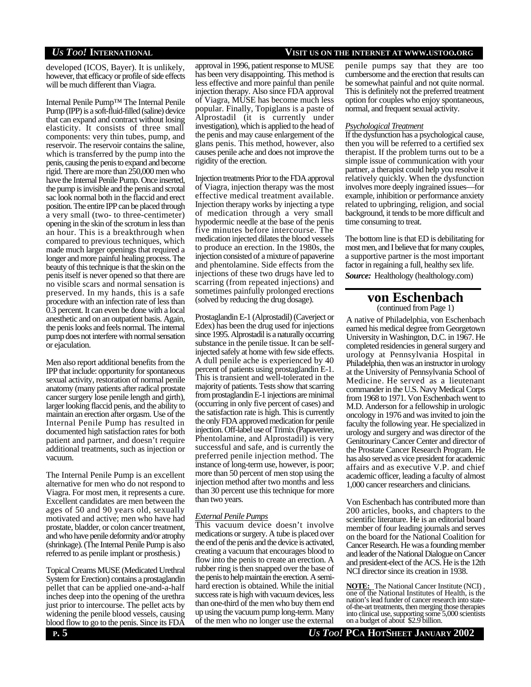developed (ICOS, Bayer). It is unlikely, however, that efficacy or profile of side effects will be much different than Viagra.

Internal Penile Pump™ The Internal Penile Pump (IPP) is a soft-fluid-filled (saline) device that can expand and contract without losing elasticity. It consists of three small components: very thin tubes, pump, and reservoir. The reservoir contains the saline, which is transferred by the pump into the penis, causing the penis to expand and become rigid. There are more than 250,000 men who have the Internal Penile Pump. Once inserted, the pump is invisible and the penis and scrotal sac look normal both in the flaccid and erect position. The entire IPP can be placed through a very small (two- to three-centimeter) opening in the skin of the scrotum in less than an hour. This is a breakthrough when compared to previous techniques, which made much larger openings that required a longer and more painful healing process. The beauty of this technique is that the skin on the penis itself is never opened so that there are no visible scars and normal sensation is preserved. In my hands, this is a safe procedure with an infection rate of less than 0.3 percent. It can even be done with a local anesthetic and on an outpatient basis. Again, the penis looks and feels normal. The internal pump does not interfere with normal sensation or ejaculation.

Men also report additional benefits from the IPP that include: opportunity for spontaneous sexual activity, restoration of normal penile anatomy (many patients after radical prostate cancer surgery lose penile length and girth), larger looking flaccid penis, and the ability to maintain an erection after orgasm. Use of the Internal Penile Pump has resulted in documented high satisfaction rates for both patient and partner, and doesn't require additional treatments, such as injection or vacuum.

The Internal Penile Pump is an excellent alternative for men who do not respond to Viagra. For most men, it represents a cure. Excellent candidates are men between the ages of 50 and 90 years old, sexually motivated and active; men who have had prostate, bladder, or colon cancer treatment, and who have penile deformity and/or atrophy (shrinkage). (The Internal Penile Pump is also referred to as penile implant or prosthesis.)

Topical Creams MUSE (Medicated Urethral System for Erection) contains a prostaglandin pellet that can be applied one-and-a-half inches deep into the opening of the urethra just prior to intercourse. The pellet acts by widening the penile blood vessels, causing blood flow to go to the penis. Since its FDA

approval in 1996, patient response to MUSE has been very disappointing. This method is less effective and more painful than penile injection therapy. Also since FDA approval of Viagra, MUSE has become much less popular. Finally, Topiglans is a paste of Alprostadil (it is currently under investigation), which is applied to the head of the penis and may cause enlargement of the glans penis. This method, however, also causes penile ache and does not improve the rigidity of the erection.

Injection treatments Prior to the FDA approval of Viagra, injection therapy was the most effective medical treatment available. Injection therapy works by injecting a type of medication through a very small hypodermic needle at the base of the penis five minutes before intercourse. The medication injected dilates the blood vessels to produce an erection. In the 1980s, the injection consisted of a mixture of papaverine and phentolamine. Side effects from the injections of these two drugs have led to scarring (from repeated injections) and sometimes painfully prolonged erections (solved by reducing the drug dosage).

Prostaglandin E-1 (Alprostadil) (Caverject or Edex) has been the drug used for injections since 1995. Alprostadil is a naturally occurring substance in the penile tissue. It can be selfinjected safely at home with few side effects. A dull penile ache is experienced by 40 percent of patients using prostaglandin E-1. This is transient and well-tolerated in the majority of patients. Tests show that scarring from prostaglandin E-1 injections are minimal (occurring in only five percent of cases) and the satisfaction rate is high. This is currently the only FDA approved medication for penile injection. Off-label use of Trimix (Papaverine, Phentolamine, and Alprostadil) is very successful and safe, and is currently the preferred penile injection method. The instance of long-term use, however, is poor; more than 50 percent of men stop using the injection method after two months and less than 30 percent use this technique for more than two years.

#### *External Penile Pumps*

This vacuum device doesn't involve medications or surgery. A tube is placed over the end of the penis and the device is activated, creating a vacuum that encourages blood to flow into the penis to create an erection. A rubber ring is then snapped over the base of the penis to help maintain the erection. A semihard erection is obtained. While the initial success rate is high with vacuum devices, less than one-third of the men who buy them end up using the vacuum pump long-term. Many of the men who no longer use the external

# *US TOO!* **INTERNATIONAL VISIT US ON THE INTERNET AT WWW.USTOO.ORG**

penile pumps say that they are too cumbersome and the erection that results can be somewhat painful and not quite normal. This is definitely not the preferred treatment option for couples who enjoy spontaneous, normal, and frequent sexual activity.

#### *PsychologicalTreatment*

If the dysfunction has a psychological cause, then you will be referred to a certified sex therapist. If the problem turns out to be a simple issue of communication with your partner, a therapist could help you resolve it relatively quickly. When the dysfunction involves more deeply ingrained issues—for example, inhibition or performance anxiety related to upbringing, religion, and social background, it tends to be more difficult and time consuming to treat.

The bottom line is that ED is debilitating for most men, and I believe that for many couples, a supportive partner is the most important factor in regaining a full, healthy sex life. *Source:* Healthology (healthology.com)

# **von Eschenbach**

(continued from Page 1) A native of Philadelphia, von Eschenbach earned his medical degree from Georgetown University in Washington, D.C. in 1967. He completed residencies in general surgery and urology at Pennsylvania Hospital in Philadelphia, then was an instructor in urology at the University of Pennsylvania School of Medicine. He served as a lieutenant commander in the U.S. Navy Medical Corps from 1968 to 1971. Von Eschenbach went to M.D. Anderson for a fellowship in urologic oncology in 1976 and was invited to join the faculty the following year. He specialized in urology and surgery and was director of the Genitourinary Cancer Center and director of the Prostate Cancer Research Program. He has also served as vice president for academic affairs and as executive V.P. and chief academic officer, leading a faculty of almost 1,000 cancer researchers and clinicians.

Von Eschenbach has contributed more than 200 articles, books, and chapters to the scientific literature. He is an editorial board member of four leading journals and serves on the board for the National Coalition for Cancer Research. He was a founding member and leader of the National Dialogue on Cancer and president-elect of the ACS. He is the 12th NCI director since its creation in 1938.

**NOTE:** The National Cancer Institute (NCI) , one of the National Institutes of Health, is the nation's lead funder of cancer research into stateof-the-art treatments, then merging those therapies into clinical use, supporting some 5,000 scientists on a budget of about \$2.9 billion.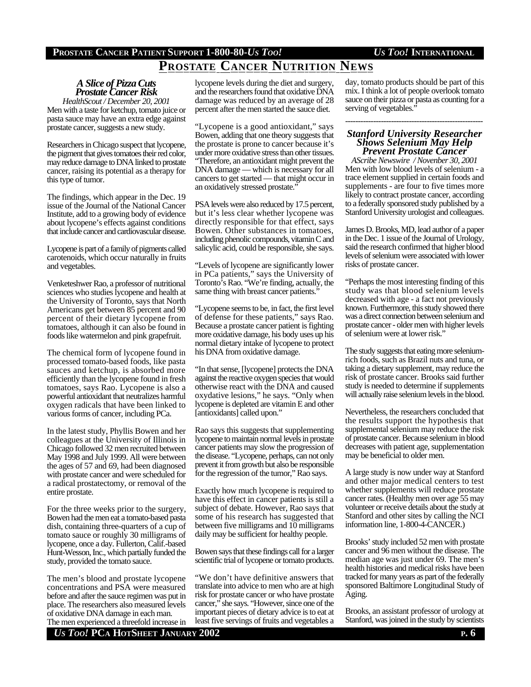# **PROSTATE CANCER PATIENT SUPPORT 1-800-80-***US TOO! US TOO!* **INTERNATIONAL**

# **PROSTATE CANCER NUTRITION NEWS**

# *A Slice of Pizza Cuts Prostate Cancer Risk*

*HealthScout / December 20, 2001* Men with a taste for ketchup, tomato juice or pasta sauce may have an extra edge against prostate cancer, suggests a new study.

Researchers in Chicago suspect that lycopene, the pigment that gives tomatoes their red color, may reduce damage to DNA linked to prostate cancer, raising its potential as a therapy for this type of tumor.

The findings, which appear in the Dec. 19 issue of the Journal of the National Cancer Institute, add to a growing body of evidence about lycopene's effects against conditions that include cancer and cardiovascular disease.

Lycopene is part of a family of pigments called carotenoids, which occur naturally in fruits and vegetables.

Venketeshwer Rao, a professor of nutritional sciences who studies lycopene and health at the University of Toronto, says that North Americans get between 85 percent and 90 percent of their dietary lycopene from tomatoes, although it can also be found in foods like watermelon and pink grapefruit.

The chemical form of lycopene found in processed tomato-based foods, like pasta sauces and ketchup, is absorbed more efficiently than the lycopene found in fresh tomatoes, says Rao. Lycopene is also a powerful antioxidant that neutralizes harmful oxygen radicals that have been linked to various forms of cancer, including PCa.

In the latest study, Phyllis Bowen and her colleagues at the University of Illinois in Chicago followed 32 men recruited between May 1998 and July 1999. All were between the ages of 57 and 69, had been diagnosed with prostate cancer and were scheduled for a radical prostatectomy, or removal of the entire prostate.

For the three weeks prior to the surgery, Bowen had the men eat a tomato-based pasta dish, containing three-quarters of a cup of tomato sauce or roughly 30 milligrams of lycopene, once a day. Fullerton, Calif.-based Hunt-Wesson, Inc., which partially funded the study, provided the tomato sauce.

The men's blood and prostate lycopene concentrations and PSA were measured before and after the sauce regimen was put in place. The researchers also measured levels of oxidative DNA damage in each man.

*US TOO!* **PCA HOTSHEET JANUARY 2002 P. 6** The men experienced a threefold increase in

lycopene levels during the diet and surgery, and the researchers found that oxidative DNA damage was reduced by an average of 28 percent after the men started the sauce diet.

"Lycopene is a good antioxidant," says Bowen, adding that one theory suggests that the prostate is prone to cancer because it's under more oxidative stress than other tissues. "Therefore, an antioxidant might prevent the DNA damage — which is necessary for all cancers to get started — that might occur in an oxidatively stressed prostate."

PSA levels were also reduced by 17.5 percent, but it's less clear whether lycopene was directly responsible for that effect, says Bowen. Other substances in tomatoes, including phenolic compounds, vitamin C and salicylic acid, could be responsible, she says.

"Levels of lycopene are significantly lower in PCa patients," says the University of Toronto's Rao. "We're finding, actually, the same thing with breast cancer patients."

"Lycopene seems to be, in fact, the first level of defense for these patients," says Rao. Because a prostate cancer patient is fighting more oxidative damage, his body uses up his normal dietary intake of lycopene to protect his DNA from oxidative damage.

"In that sense, [lycopene] protects the DNA against the reactive oxygen species that would otherwise react with the DNA and caused oxydative lesions," he says. "Only when lycopene is depleted are vitamin E and other [antioxidants] called upon."

Rao says this suggests that supplementing lycopene to maintain normal levels in prostate cancer patients may slow the progression of the disease. "Lycopene, perhaps, can not only prevent it from growth but also be responsible for the regression of the tumor," Rao says.

Exactly how much lycopene is required to have this effect in cancer patients is still a subject of debate. However, Rao says that some of his research has suggested that between five milligrams and 10 milligrams daily may be sufficient for healthy people.

Bowen says that these findings call for a larger scientific trial of lycopene or tomato products.

"We don't have definitive answers that translate into advice to men who are at high risk for prostate cancer or who have prostate cancer," she says. "However, since one of the important pieces of dietary advice is to eat at least five servings of fruits and vegetables a

day, tomato products should be part of this mix. I think a lot of people overlook tomato sauce on their pizza or pasta as counting for a serving of vegetables."

## *Stanford University Researcher Shows Selenium May Help Prevent Prostate Cancer*

------------------------------------------------------

*AScribe Newswire / Novenber 30, 2001* Men with low blood levels of selenium - a trace element supplied in certain foods and supplements - are four to five times more likely to contract prostate cancer, according to a federally sponsored study published by a Stanford University urologist and colleagues.

James D. Brooks, MD, lead author of a paper in the Dec. 1 issue of the Journal of Urology, said the research confirmed that higher blood levels of selenium were associated with lower risks of prostate cancer.

"Perhaps the most interesting finding of this study was that blood selenium levels decreased with age - a fact not previously known. Furthermore, this study showed there was a direct connection between selenium and prostate cancer - older men with higher levels of selenium were at lower risk."

The study suggests that eating more seleniumrich foods, such as Brazil nuts and tuna, or taking a dietary supplement, may reduce the risk of prostate cancer. Brooks said further study is needed to determine if supplements will actually raise selenium levels in the blood.

Nevertheless, the researchers concluded that the results support the hypothesis that supplemental selenium may reduce the risk of prostate cancer. Because selenium in blood decreases with patient age, supplementation may be beneficial to older men.

A large study is now under way at Stanford and other major medical centers to test whether supplements will reduce prostate cancer rates. (Healthy men over age 55 may volunteer or receive details about the study at Stanford and other sites by calling the NCI information line, 1-800-4-CANCER.)

Brooks' study included 52 men with prostate cancer and 96 men without the disease. The median age was just under 69. The men's health histories and medical risks have been tracked for many years as part of the federally sponsored Baltimore Longitudinal Study of Aging.

Brooks, an assistant professor of urology at Stanford, was joined in the study by scientists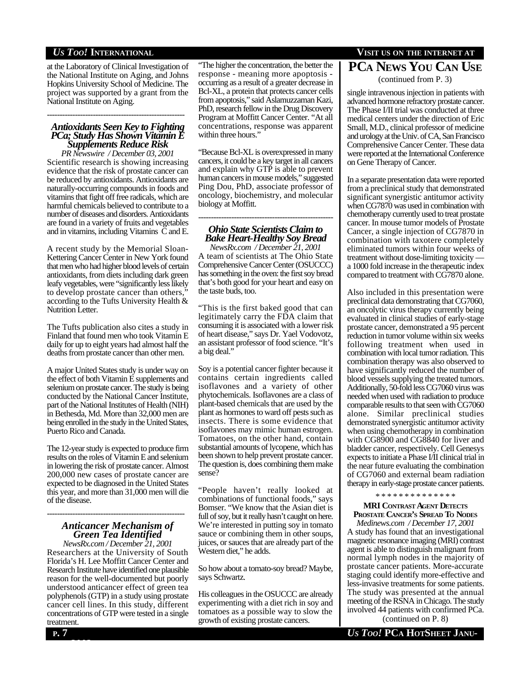**WWW.USTOO.ORG** at the Laboratory of Clinical Investigation of the National Institute on Aging, and Johns Hopkins University School of Medicine. The project was supported by a grant from the National Institute on Aging.

# *Antioxidants Seen Key to Fighting PCa; Study Has Shown Vitamin E Supplements Reduce Risk*

------------------------------------------------------

*PR Newswire / December 03, 2001* Scientific research is showing increasing evidence that the risk of prostate cancer can be reduced by antioxidants. Antioxidants are naturally-occurring compounds in foods and vitamins that fight off free radicals, which are harmful chemicals believed to contribute to a number of diseases and disorders. Antioxidants are found in a variety of fruits and vegetables and in vitamins, including Vitamins C and E.

A recent study by the Memorial Sloan-Kettering Cancer Center in New York found that men who had higher blood levels of certain antioxidants, from diets including dark green leafy vegetables, were "significantly less likely to develop prostate cancer than others," according to the Tufts University Health & Nutrition Letter.

The Tufts publication also cites a study in Finland that found men who took Vitamin E daily for up to eight years had almost half the deaths from prostate cancer than other men.

A major United States study is under way on the effect of both Vitamin E supplements and selenium on prostate cancer. The study is being conducted by the National Cancer Institute, part of the National Institutes of Health (NIH) in Bethesda, Md. More than 32,000 men are being enrolled in the study in the United States, Puerto Rico and Canada.

The 12-year study is expected to produce firm results on the roles of Vitamin E and selenium in lowering the risk of prostate cancer. Almost 200,000 new cases of prostate cancer are expected to be diagnosed in the United States this year, and more than 31,000 men will die of the disease.

# *Anticancer Mechanism of Green Tea Identified*

------------------------------------------------------

*NewsRx.com / December 21, 2001* Researchers at the University of South Florida's H. Lee Moffitt Cancer Center and Research Institute have identified one plausible reason for the well-documented but poorly understood anticancer effect of green tea polyphenols (GTP) in a study using prostate cancer cell lines. In this study, different concentrations of GTP were tested in a single treatment.

"The higher the concentration, the better the response - meaning more apoptosis occurring as a result of a greater decrease in Bcl-XL, a protein that protects cancer cells from apoptosis," said Aslamuzzaman Kazi, PhD, research fellow in the Drug Discovery Program at Moffitt Cancer Center. "At all concentrations, response was apparent within three hours."

"Because Bcl-XL is overexpressed in many cancers, it could be a key target in all cancers and explain why GTP is able to prevent human cancers in mouse models," suggested Ping Dou, PhD, associate professor of oncology, biochemistry, and molecular biology at Moffitt.

# ----------------------------------------------------- *Ohio State Scientists Claim to Bake Heart-Healthy Soy Bread*

*NewsRx.com / December 21, 2001* A team of scientists at The Ohio State Comprehensive Cancer Center (OSUCCC) has something in the oven: the first soy bread that's both good for your heart and easy on the taste buds, too.

"This is the first baked good that can legitimately carry the FDA claim that consuming it is associated with a lower risk of heart disease," says Dr. Yael Vodovotz, an assistant professor of food science. "It's a big deal."

Soy is a potential cancer fighter because it contains certain ingredients called isoflavones and a variety of other phytochemicals. Isoflavones are a class of plant-based chemicals that are used by the plant as hormones to ward off pests such as insects. There is some evidence that isoflavones may mimic human estrogen. Tomatoes, on the other hand, contain substantial amounts of lycopene, which has been shown to help prevent prostate cancer. The question is, does combining them make sense?

"People haven't really looked at combinations of functional foods," says Bomser. "We know that the Asian diet is full of soy, but it really hasn't caught on here. We're interested in putting soy in tomato sauce or combining them in other soups, juices, or sauces that are already part of the Western diet," he adds.

So how about a tomato-soy bread? Maybe, says Schwartz.

His colleagues in the OSUCCC are already experimenting with a diet rich in soy and tomatoes as a possible way to slow the growth of existing prostate cancers. (continued on P. 8)

# **VISIT** US **O** ON **THE INTERNATIONAL VISIT** US ON **THE INTERNET** AT **PCA NEWS YOU CAN USE**

(continued from P. 3)

single intravenous injection in patients with advanced hormone refractory prostate cancer. The Phase I/II trial was conducted at three medical centers under the direction of Eric Small, M.D., clinical professor of medicine and urology at the Univ. of CA, San Francisco Comprehensive Cancer Center. These data were reported at the International Conference on Gene Therapy of Cancer.

In a separate presentation data were reported from a preclinical study that demonstrated significant synergistic antitumor activity when CG7870 was used in combination with chemotherapy currently used to treat prostate cancer. In mouse tumor models of Prostate Cancer, a single injection of CG7870 in combination with taxotere completely eliminated tumors within four weeks of treatment without dose-limiting toxicity a 1000 fold increase in the therapeutic index compared to treatment with CG7870 alone.

Also included in this presentation were preclinical data demonstrating that CG7060, an oncolytic virus therapy currently being evaluated in clinical studies of early-stage prostate cancer, demonstrated a 95 percent reduction in tumor volume within six weeks following treatment when used in combination with local tumor radiation. This combination therapy was also observed to have significantly reduced the number of blood vessels supplying the treated tumors. Additionally, 50-fold less CG7060 virus was needed when used with radiation to produce comparable results to that seen with CG7060 alone. Similar preclinical studies demonstrated synergistic antitumor activity when using chemotherapy in combination with CG8900 and CG8840 for liver and bladder cancer, respectively. Cell Genesys expects to initiate a Phase I/II clinical trial in the near future evaluating the combination of CG7060 and external beam radiation therapy in early-stage prostate cancer patients.

### \* \* \* \* \* \* \* \* \* \* \* \* \* \*

# **MRI CONTRAST AGENT DETECTS PROSTATE CANCER'S SPREAD TO NODES**

*Medinews.com / December 17, 2001* A study has found that an investigational magnetic resonance imaging (MRI) contrast agent is able to distinguish malignant from normal lymph nodes in the majority of prostate cancer patients. More-accurate staging could identify more-effective and less-invasive treatments for some patients. The study was presented at the annual meeting of the RSNA in Chicago. The study involved 44 patients with confirmed PCa.

**ARY 2002**